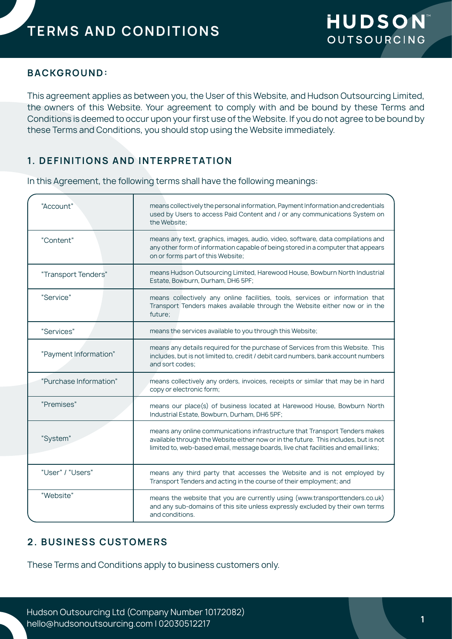## **BACKGROUND:**

This agreement applies as between you, the User of this Website, and Hudson Outsourcing Limited, the owners of this Website. Your agreement to comply with and be bound by these Terms and Conditions is deemed to occur upon your first use of the Website. If you do not agree to be bound by these Terms and Conditions, you should stop using the Website immediately.

# **1. DEFINITIONS AND INTERPRETATION**

In this Agreement, the following terms shall have the following meanings:

| "Account"              | means collectively the personal information, Payment Information and credentials<br>used by Users to access Paid Content and / or any communications System on<br>the Website;                                                                            |
|------------------------|-----------------------------------------------------------------------------------------------------------------------------------------------------------------------------------------------------------------------------------------------------------|
| "Content"              | means any text, graphics, images, audio, video, software, data compilations and<br>any other form of information capable of being stored in a computer that appears<br>on or forms part of this Website;                                                  |
| "Transport Tenders"    | means Hudson Outsourcing Limited, Harewood House, Bowburn North Industrial<br>Estate, Bowburn, Durham, DH6 5PF;                                                                                                                                           |
| "Service"              | means collectively any online facilities, tools, services or information that<br>Transport Tenders makes available through the Website either now or in the<br>future;                                                                                    |
| "Services"             | means the services available to you through this Website;                                                                                                                                                                                                 |
| "Payment Information"  | means any details required for the purchase of Services from this Website. This<br>includes, but is not limited to, credit / debit card numbers, bank account numbers<br>and sort codes:                                                                  |
| "Purchase Information" | means collectively any orders, invoices, receipts or similar that may be in hard<br>copy or electronic form;                                                                                                                                              |
| "Premises"             | means our place(s) of business located at Harewood House, Bowburn North<br>Industrial Estate, Bowburn, Durham, DH6 5PF;                                                                                                                                   |
| "System"               | means any online communications infrastructure that Transport Tenders makes<br>available through the Website either now or in the future. This includes, but is not<br>limited to, web-based email, message boards, live chat facilities and email links; |
| "User" / "Users"       | means any third party that accesses the Website and is not employed by<br>Transport Tenders and acting in the course of their employment; and                                                                                                             |
| "Website"              | means the website that you are currently using (www.transporttenders.co.uk)<br>and any sub-domains of this site unless expressly excluded by their own terms<br>and conditions.                                                                           |

## **2. BUSINESS CUSTOMERS**

These Terms and Conditions apply to business customers only.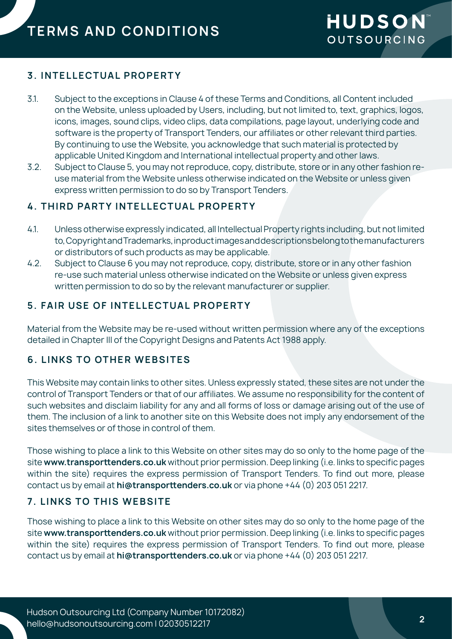## **3. INTELLECTUAL PROPERTY**

- 3.1. Subject to the exceptions in Clause 4 of these Terms and Conditions, all Content included on the Website, unless uploaded by Users, including, but not limited to, text, graphics, logos, icons, images, sound clips, video clips, data compilations, page layout, underlying code and software is the property of Transport Tenders, our affiliates or other relevant third parties. By continuing to use the Website, you acknowledge that such material is protected by applicable United Kingdom and International intellectual property and other laws.
- 3.2. Subject to Clause 5, you may not reproduce, copy, distribute, store or in any other fashion reuse material from the Website unless otherwise indicated on the Website or unless given express written permission to do so by Transport Tenders.

## **4. THIRD PARTY INTELLECTUAL PROPERTY**

- 4.1. Unless otherwise expressly indicated, all Intellectual Property rights including, but not limited to, Copyright and Trademarks, in product images and descriptions belong to the manufacturers or distributors of such products as may be applicable.
- 4.2. Subject to Clause 6 you may not reproduce, copy, distribute, store or in any other fashion re-use such material unless otherwise indicated on the Website or unless given express written permission to do so by the relevant manufacturer or supplier.

## **5. FAIR USE OF INTELLECTUAL PROPERTY**

Material from the Website may be re-used without written permission where any of the exceptions detailed in Chapter III of the Copyright Designs and Patents Act 1988 apply.

### **6. LINKS TO OTHER WEBSITES**

This Website may contain links to other sites. Unless expressly stated, these sites are not under the control of Transport Tenders or that of our affiliates. We assume no responsibility for the content of such websites and disclaim liability for any and all forms of loss or damage arising out of the use of them. The inclusion of a link to another site on this Website does not imply any endorsement of the sites themselves or of those in control of them.

Those wishing to place a link to this Website on other sites may do so only to the home page of the site **www.transporttenders.co.uk** without prior permission. Deep linking (i.e. links to specific pages within the site) requires the express permission of Transport Tenders. To find out more, please contact us by email at **hi@transporttenders.co.uk** or via phone +44 (0) 203 051 2217.

## **7. LINKS TO THIS WEBSITE**

Those wishing to place a link to this Website on other sites may do so only to the home page of the site **www.transporttenders.co.uk** without prior permission. Deep linking (i.e. links to specific pages within the site) requires the express permission of Transport Tenders. To find out more, please contact us by email at **hi@transporttenders.co.uk** or via phone +44 (0) 203 051 2217.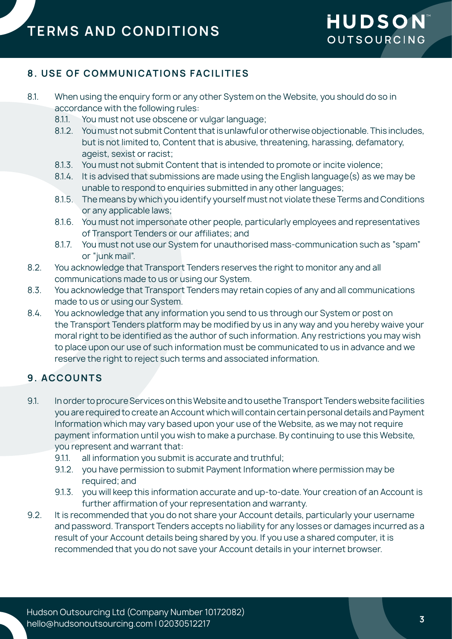# **8. USE OF COMMUNICATIONS FACILITIES**

- 8.1. When using the enquiry form or any other System on the Website, you should do so in accordance with the following rules:
	- 8.1.1. You must not use obscene or vulgar language;
	- 8.1.2. You must not submit Content that is unlawful or otherwise objectionable. This includes, but is not limited to, Content that is abusive, threatening, harassing, defamatory, ageist, sexist or racist;
	- 8.1.3. You must not submit Content that is intended to promote or incite violence;
	- 8.1.4. It is advised that submissions are made using the English language(s) as we may be unable to respond to enquiries submitted in any other languages;
	- 8.1.5. The means by which you identify yourself must not violate these Terms and Conditions or any applicable laws;
	- 8.1.6. You must not impersonate other people, particularly employees and representatives of Transport Tenders or our affiliates; and
	- 8.1.7. You must not use our System for unauthorised mass-communication such as "spam" or "junk mail".
- 8.2. You acknowledge that Transport Tenders reserves the right to monitor any and all communications made to us or using our System.
- 8.3. You acknowledge that Transport Tenders may retain copies of any and all communications made to us or using our System.
- 8.4. You acknowledge that any information you send to us through our System or post on the Transport Tenders platform may be modified by us in any way and you hereby waive your moral right to be identified as the author of such information. Any restrictions you may wish to place upon our use of such information must be communicated to us in advance and we reserve the right to reject such terms and associated information.

## **9. ACCOUNTS**

- 9.1. In order to procure Services on this Website and to usethe Transport Tenders website facilities you are required to create an Account which will contain certain personal details and Payment Information which may vary based upon your use of the Website, as we may not require payment information until you wish to make a purchase. By continuing to use this Website, you represent and warrant that:
	- 9.1.1. all information you submit is accurate and truthful;
	- 9.1.2. you have permission to submit Payment Information where permission may be required; and
	- 9.1.3. you will keep this information accurate and up-to-date. Your creation of an Account is further affirmation of your representation and warranty.
- 9.2. It is recommended that you do not share your Account details, particularly your username and password. Transport Tenders accepts no liability for any losses or damages incurred as a result of your Account details being shared by you. If you use a shared computer, it is recommended that you do not save your Account details in your internet browser.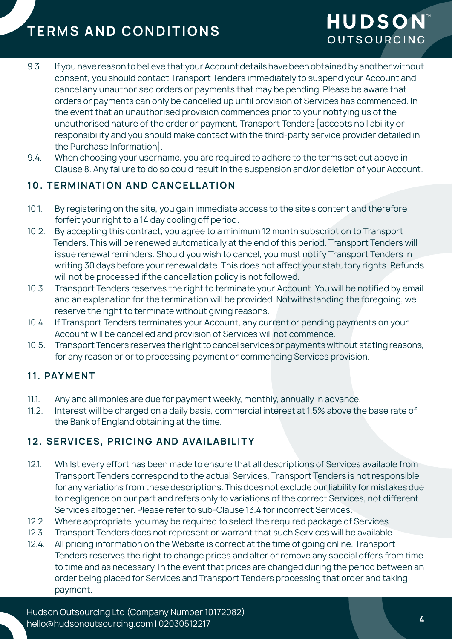- 9.3. If you have reason to believe that your Account details have been obtained by another without consent, you should contact Transport Tenders immediately to suspend your Account and cancel any unauthorised orders or payments that may be pending. Please be aware that orders or payments can only be cancelled up until provision of Services has commenced. In the event that an unauthorised provision commences prior to your notifying us of the unauthorised nature of the order or payment, Transport Tenders [accepts no liability or responsibility and you should make contact with the third-party service provider detailed in the Purchase Information].
- 9.4. When choosing your username, you are required to adhere to the terms set out above in Clause 8. Any failure to do so could result in the suspension and/or deletion of your Account.

## **10. TERMINATION AND CANCELLATION**

- 10.1. By registering on the site, you gain immediate access to the site's content and therefore forfeit your right to a 14 day cooling off period.
- 10.2. By accepting this contract, you agree to a minimum 12 month subscription to Transport Tenders. This will be renewed automatically at the end of this period. Transport Tenders will issue renewal reminders. Should you wish to cancel, you must notify Transport Tenders in writing 30 days before your renewal date. This does not affect your statutory rights. Refunds will not be processed if the cancellation policy is not followed.
- 10.3. Transport Tenders reserves the right to terminate your Account. You will be notified by email and an explanation for the termination will be provided. Notwithstanding the foregoing, we reserve the right to terminate without giving reasons.
- 10.4. If Transport Tenders terminates your Account, any current or pending payments on your Account will be cancelled and provision of Services will not commence.
- 10.5. Transport Tenders reserves the right to cancel services or payments without stating reasons, for any reason prior to processing payment or commencing Services provision.

## **11. PAYMENT**

- 11.1. Any and all monies are due for payment weekly, monthly, annually in advance.
- 11.2. Interest will be charged on a daily basis, commercial interest at 1.5% above the base rate of the Bank of England obtaining at the time.

# 12. SERVICES, PRICING AND AVAILABILITY

- 12.1. Whilst every effort has been made to ensure that all descriptions of Services available from Transport Tenders correspond to the actual Services, Transport Tenders is not responsible for any variations from these descriptions. This does not exclude our liability for mistakes due to negligence on our part and refers only to variations of the correct Services, not different Services altogether. Please refer to sub-Clause 13.4 for incorrect Services.
- 12.2. Where appropriate, you may be required to select the required package of Services.
- 12.3. Transport Tenders does not represent or warrant that such Services will be available.
- 12.4. All pricing information on the Website is correct at the time of going online. Transport Tenders reserves the right to change prices and alter or remove any special offers from time to time and as necessary. In the event that prices are changed during the period between an order being placed for Services and Transport Tenders processing that order and taking payment.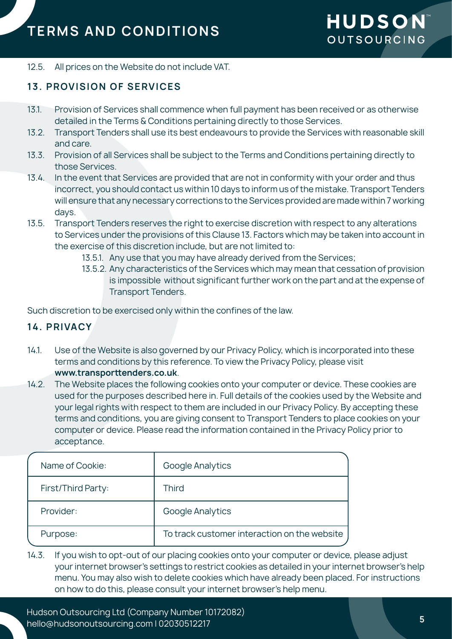#### 12.5. All prices on the Website do not include VAT.

## **13. PROVISION OF SERVICES**

- 13.1. Provision of Services shall commence when full payment has been received or as otherwise detailed in the Terms & Conditions pertaining directly to those Services.
- 13.2. Transport Tenders shall use its best endeavours to provide the Services with reasonable skill and care.
- 13.3. Provision of all Services shall be subject to the Terms and Conditions pertaining directly to those Services.
- 13.4. In the event that Services are provided that are not in conformity with your order and thus incorrect, you should contact us within 10 days to inform us of the mistake. Transport Tenders will ensure that any necessary corrections to the Services provided are made within 7 working days.
- 13.5. Transport Tenders reserves the right to exercise discretion with respect to any alterations to Services under the provisions of this Clause 13. Factors which may be taken into account in the exercise of this discretion include, but are not limited to:
	- 13.5.1. Any use that you may have already derived from the Services;
	- 13.5.2. Any characteristics of the Services which may mean that cessation of provision is impossible without significant further work on the part and at the expense of Transport Tenders.

Such discretion to be exercised only within the confines of the law.

### **14. PRIVACY**

- 14.1. Use of the Website is also governed by our Privacy Policy, which is incorporated into these terms and conditions by this reference. To view the Privacy Policy, please visit **www.transporttenders.co.uk**.
- 14.2. The Website places the following cookies onto your computer or device. These cookies are used for the purposes described here in. Full details of the cookies used by the Website and your legal rights with respect to them are included in our Privacy Policy. By accepting these terms and conditions, you are giving consent to Transport Tenders to place cookies on your computer or device. Please read the information contained in the Privacy Policy prior to acceptance.

| Name of Cookie:    | Google Analytics                             |
|--------------------|----------------------------------------------|
| First/Third Party: | <b>Third</b>                                 |
| Provider:          | Google Analytics                             |
| Purpose:           | To track customer interaction on the website |

14.3. If you wish to opt-out of our placing cookies onto your computer or device, please adjust your internet browser's settings to restrict cookies as detailed in your internet browser's help menu. You may also wish to delete cookies which have already been placed. For instructions on how to do this, please consult your internet browser's help menu.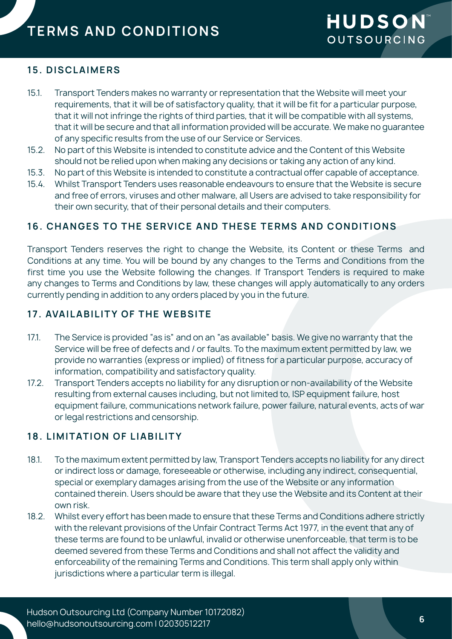## **15. DISCLAIMERS**

- 15.1. Transport Tenders makes no warranty or representation that the Website will meet your requirements, that it will be of satisfactory quality, that it will be fit for a particular purpose, that it will not infringe the rights of third parties, that it will be compatible with all systems, that it will be secure and that all information provided will be accurate. We make no guarantee of any specific results from the use of our Service or Services.
- 15.2. No part of this Website is intended to constitute advice and the Content of this Website should not be relied upon when making any decisions or taking any action of any kind.
- 15.3. No part of this Website is intended to constitute a contractual offer capable of acceptance.
- 15.4. Whilst Transport Tenders uses reasonable endeavours to ensure that the Website is secure and free of errors, viruses and other malware, all Users are advised to take responsibility for their own security, that of their personal details and their computers.

### **16. CHANGES TO THE SERVICE AND THESE TERMS AND CONDITIONS**

Transport Tenders reserves the right to change the Website, its Content or these Terms and Conditions at any time. You will be bound by any changes to the Terms and Conditions from the first time you use the Website following the changes. If Transport Tenders is required to make any changes to Terms and Conditions by law, these changes will apply automatically to any orders currently pending in addition to any orders placed by you in the future.

## **17. AVAILABILITY OF THE WEBSITE**

- 17.1. The Service is provided "as is" and on an "as available" basis. We give no warranty that the Service will be free of defects and / or faults. To the maximum extent permitted by law, we provide no warranties (express or implied) of fitness for a particular purpose, accuracy of information, compatibility and satisfactory quality.
- 17.2. Transport Tenders accepts no liability for any disruption or non-availability of the Website resulting from external causes including, but not limited to, ISP equipment failure, host equipment failure, communications network failure, power failure, natural events, acts of war or legal restrictions and censorship.

## **18. LIMITATION OF LIABILITY**

- 18.1. To the maximum extent permitted by law, Transport Tenders accepts no liability for any direct or indirect loss or damage, foreseeable or otherwise, including any indirect, consequential, special or exemplary damages arising from the use of the Website or any information contained therein. Users should be aware that they use the Website and its Content at their own risk.
- 18.2. Whilst every effort has been made to ensure that these Terms and Conditions adhere strictly with the relevant provisions of the Unfair Contract Terms Act 1977, in the event that any of these terms are found to be unlawful, invalid or otherwise unenforceable, that term is to be deemed severed from these Terms and Conditions and shall not affect the validity and enforceability of the remaining Terms and Conditions. This term shall apply only within jurisdictions where a particular term is illegal.